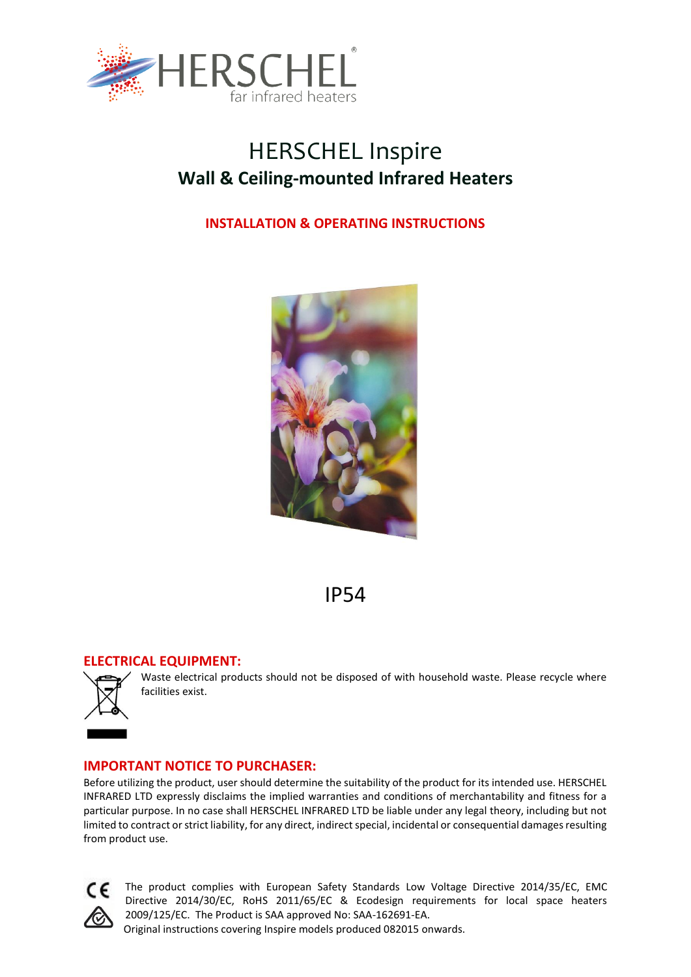

# HERSCHEL Inspire **Wall & Ceiling-mounted Infrared Heaters**

# **INSTALLATION & OPERATING INSTRUCTIONS**



# IP54

# **ELECTRICAL EQUIPMENT:**



Waste electrical products should not be disposed of with household waste. Please recycle where facilities exist.

# **IMPORTANT NOTICE TO PURCHASER:**

Before utilizing the product, user should determine the suitability of the product for its intended use. HERSCHEL INFRARED LTD expressly disclaims the implied warranties and conditions of merchantability and fitness for a particular purpose. In no case shall HERSCHEL INFRARED LTD be liable under any legal theory, including but not limited to contract or strict liability, for any direct, indirect special, incidental or consequential damages resulting from product use.



The product complies with European Safety Standards Low Voltage Directive 2014/35/EC, EMC Directive 2014/30/EC, RoHS 2011/65/EC & Ecodesign requirements for local space heaters 2009/125/EC. The Product is SAA approved No: SAA-162691-EA.

Original instructions covering Inspire models produced 082015 onwards.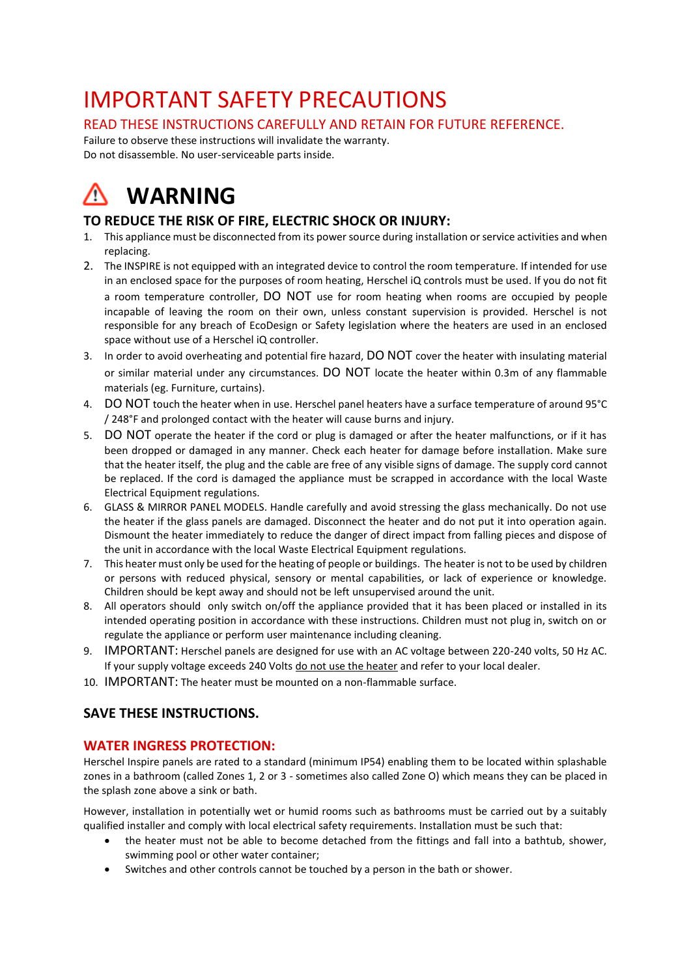# IMPORTANT SAFETY PRECAUTIONS

# READ THESE INSTRUCTIONS CAREFULLY AND RETAIN FOR FUTURE REFERENCE.

Failure to observe these instructions will invalidate the warranty. Do not disassemble. No user-serviceable parts inside.

# **WARNING** Λ١

# **TO REDUCE THE RISK OF FIRE, ELECTRIC SHOCK OR INJURY:**

- 1. This appliance must be disconnected from its power source during installation or service activities and when replacing.
- 2. The INSPIRE is not equipped with an integrated device to control the room temperature. If intended for use in an enclosed space for the purposes of room heating, Herschel iQ controls must be used. If you do not fit a room temperature controller, DO NOT use for room heating when rooms are occupied by people incapable of leaving the room on their own, unless constant supervision is provided. Herschel is not responsible for any breach of EcoDesign or Safety legislation where the heaters are used in an enclosed space without use of a Herschel iQ controller.
- 3. In order to avoid overheating and potential fire hazard, DO NOT cover the heater with insulating material or similar material under any circumstances. DO NOT locate the heater within 0.3m of any flammable materials (eg. Furniture, curtains).
- 4. DO NOT touch the heater when in use. Herschel panel heaters have a surface temperature of around 95°C / 248°F and prolonged contact with the heater will cause burns and injury.
- 5. DO NOT operate the heater if the cord or plug is damaged or after the heater malfunctions, or if it has been dropped or damaged in any manner. Check each heater for damage before installation. Make sure that the heater itself, the plug and the cable are free of any visible signs of damage. The supply cord cannot be replaced. If the cord is damaged the appliance must be scrapped in accordance with the local Waste Electrical Equipment regulations.
- 6. GLASS & MIRROR PANEL MODELS. Handle carefully and avoid stressing the glass mechanically. Do not use the heater if the glass panels are damaged. Disconnect the heater and do not put it into operation again. Dismount the heater immediately to reduce the danger of direct impact from falling pieces and dispose of the unit in accordance with the local Waste Electrical Equipment regulations.
- 7. This heater must only be used for the heating of people or buildings. The heater is not to be used by children or persons with reduced physical, sensory or mental capabilities, or lack of experience or knowledge. Children should be kept away and should not be left unsupervised around the unit.
- 8. All operators should only switch on/off the appliance provided that it has been placed or installed in its intended operating position in accordance with these instructions. Children must not plug in, switch on or regulate the appliance or perform user maintenance including cleaning.
- 9. IMPORTANT: Herschel panels are designed for use with an AC voltage between 220-240 volts, 50 Hz AC. If your supply voltage exceeds 240 Volts do not use the heater and refer to your local dealer.
- 10. IMPORTANT: The heater must be mounted on a non-flammable surface.

# **SAVE THESE INSTRUCTIONS.**

# **WATER INGRESS PROTECTION:**

Herschel Inspire panels are rated to a standard (minimum IP54) enabling them to be located within splashable zones in a bathroom (called Zones 1, 2 or 3 - sometimes also called Zone O) which means they can be placed in the splash zone above a sink or bath.

However, installation in potentially wet or humid rooms such as bathrooms must be carried out by a suitably qualified installer and comply with local electrical safety requirements. Installation must be such that:

- the heater must not be able to become detached from the fittings and fall into a bathtub, shower, swimming pool or other water container;
- Switches and other controls cannot be touched by a person in the bath or shower.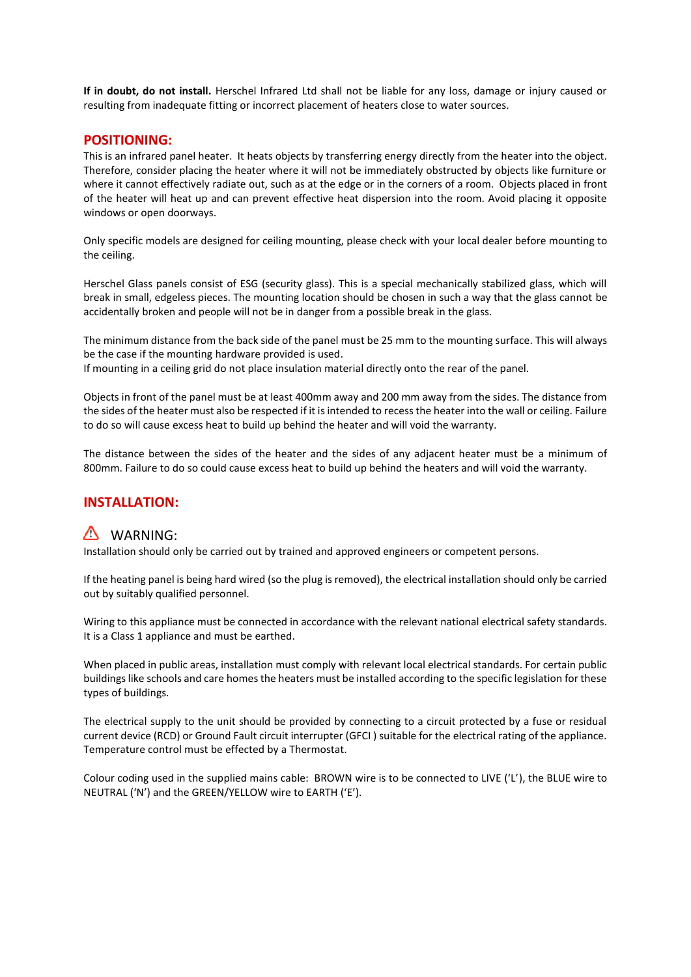**If in doubt, do not install.** Herschel Infrared Ltd shall not be liable for any loss, damage or injury caused or resulting from inadequate fitting or incorrect placement of heaters close to water sources.

# **POSITIONING:**

This is an infrared panel heater. It heats objects by transferring energy directly from the heater into the object. Therefore, consider placing the heater where it will not be immediately obstructed by objects like furniture or where it cannot effectively radiate out, such as at the edge or in the corners of a room. Objects placed in front of the heater will heat up and can prevent effective heat dispersion into the room. Avoid placing it opposite windows or open doorways.

Only specific models are designed for ceiling mounting, please check with your local dealer before mounting to the ceiling.

Herschel Glass panels consist of ESG (security glass). This is a special mechanically stabilized glass, which will break in small, edgeless pieces. The mounting location should be chosen in such a way that the glass cannot be accidentally broken and people will not be in danger from a possible break in the glass.

The minimum distance from the back side of the panel must be 25 mm to the mounting surface. This will always be the case if the mounting hardware provided is used.

If mounting in a ceiling grid do not place insulation material directly onto the rear of the panel.

Objects in front of the panel must be at least 400mm away and 200 mm away from the sides. The distance from the sides of the heater must also be respected if it is intended to recess the heater into the wall or ceiling. Failure to do so will cause excess heat to build up behind the heater and will void the warranty.

The distance between the sides of the heater and the sides of any adjacent heater must be a minimum of 800mm. Failure to do so could cause excess heat to build up behind the heaters and will void the warranty.

# **INSTALLATION:**

# WARNING:

Installation should only be carried out by trained and approved engineers or competent persons.

If the heating panel is being hard wired (so the plug is removed), the electrical installation should only be carried out by suitably qualified personnel.

Wiring to this appliance must be connected in accordance with the relevant national electrical safety standards. It is a Class 1 appliance and must be earthed.

When placed in public areas, installation must comply with relevant local electrical standards. For certain public buildings like schools and care homes the heaters must be installed according to the specific legislation for these types of buildings.

The electrical supply to the unit should be provided by connecting to a circuit protected by a fuse or residual current device (RCD) or Ground Fault circuit interrupter (GFCI ) suitable for the electrical rating of the appliance. Temperature control must be effected by a Thermostat.

Colour coding used in the supplied mains cable: BROWN wire is to be connected to LIVE ('L'), the BLUE wire to NEUTRAL ('N') and the GREEN/YELLOW wire to EARTH ('E').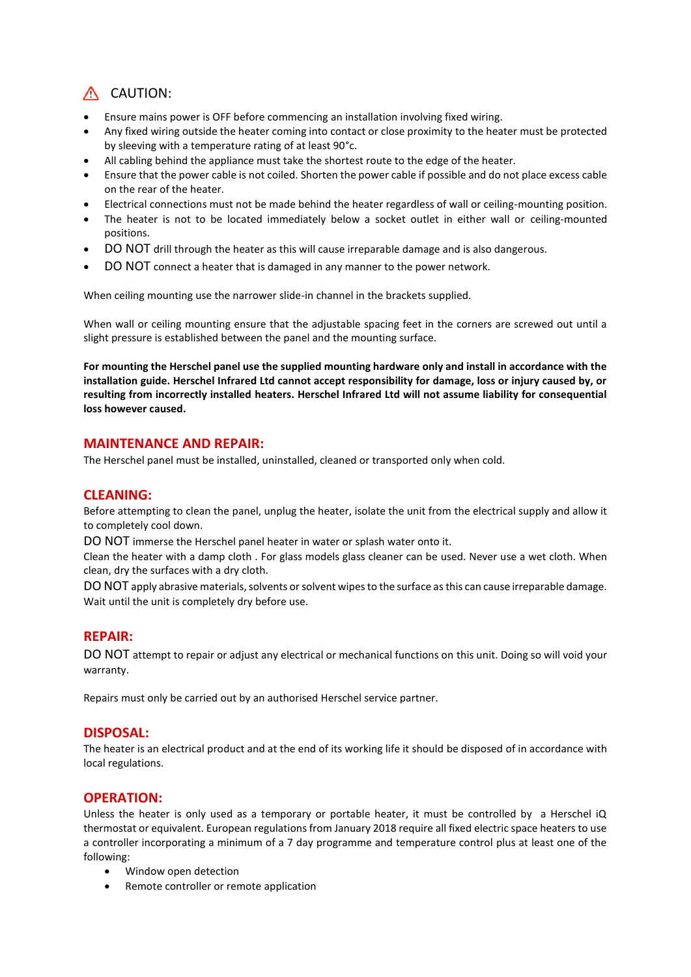# A CAUTION:

- Ensure mains power is OFF before commencing an installation involving fixed wiring.
- Any fixed wiring outside the heater coming into contact or close proximity to the heater must be protected by sleeving with a temperature rating of at least 90°c.
- All cabling behind the appliance must take the shortest route to the edge of the heater.
- Ensure that the power cable is not coiled. Shorten the power cable if possible and do not place excess cable on the rear of the heater.
- Electrical connections must not be made behind the heater regardless of wall or ceiling-mounting position.
- The heater is not to be located immediately below a socket outlet in either wall or ceiling-mounted positions.
- DO NOT drill through the heater as this will cause irreparable damage and is also dangerous.
- DO NOT connect a heater that is damaged in any manner to the power network.

When ceiling mounting use the narrower slide-in channel in the brackets supplied.

When wall or ceiling mounting ensure that the adjustable spacing feet in the corners are screwed out until a slight pressure is established between the panel and the mounting surface.

**For mounting the Herschel panel use the supplied mounting hardware only and install in accordance with the installation guide. Herschel Infrared Ltd cannot accept responsibility for damage, loss or injury caused by, or resulting from incorrectly installed heaters. Herschel Infrared Ltd will not assume liability for consequential loss however caused.** 

# **MAINTENANCE AND REPAIR:**

The Herschel panel must be installed, uninstalled, cleaned or transported only when cold.

## **CLEANING:**

Before attempting to clean the panel, unplug the heater, isolate the unit from the electrical supply and allow it to completely cool down.

DO NOT immerse the Herschel panel heater in water or splash water onto it.

Clean the heater with a damp cloth . For glass models glass cleaner can be used. Never use a wet cloth. When clean, dry the surfaces with a dry cloth.

DO NOT apply abrasive materials, solvents or solvent wipes to the surface as this can cause irreparable damage. Wait until the unit is completely dry before use.

## **REPAIR:**

DO NOT attempt to repair or adjust any electrical or mechanical functions on this unit. Doing so will void your warranty.

Repairs must only be carried out by an authorised Herschel service partner.

## **DISPOSAL:**

The heater is an electrical product and at the end of its working life it should be disposed of in accordance with local regulations.

## **OPERATION:**

Unless the heater is only used as a temporary or portable heater, it must be controlled by a Herschel iQ thermostat or equivalent. European regulations from January 2018 require all fixed electric space heaters to use a controller incorporating a minimum of a 7 day programme and temperature control plus at least one of the following:

- Window open detection
- Remote controller or remote application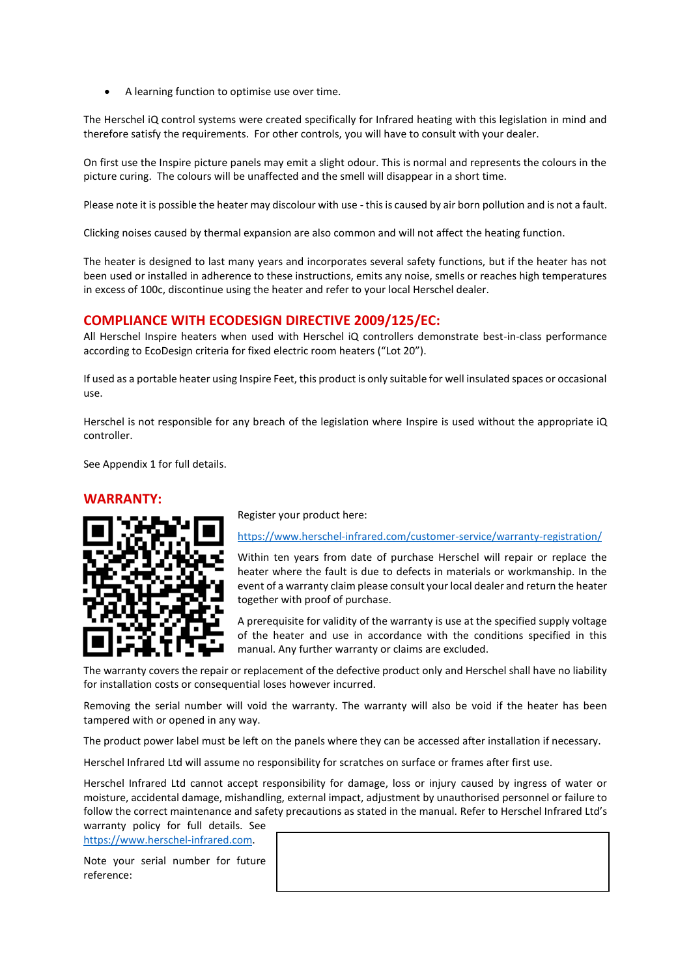• A learning function to optimise use over time.

The Herschel iQ control systems were created specifically for Infrared heating with this legislation in mind and therefore satisfy the requirements. For other controls, you will have to consult with your dealer.

On first use the Inspire picture panels may emit a slight odour. This is normal and represents the colours in the picture curing. The colours will be unaffected and the smell will disappear in a short time.

Please note it is possible the heater may discolour with use - this is caused by air born pollution and is not a fault.

Clicking noises caused by thermal expansion are also common and will not affect the heating function.

The heater is designed to last many years and incorporates several safety functions, but if the heater has not been used or installed in adherence to these instructions, emits any noise, smells or reaches high temperatures in excess of 100c, discontinue using the heater and refer to your local Herschel dealer.

## **COMPLIANCE WITH ECODESIGN DIRECTIVE 2009/125/EC:**

All Herschel Inspire heaters when used with Herschel iQ controllers demonstrate best-in-class performance according to EcoDesign criteria for fixed electric room heaters ("Lot 20").

If used as a portable heater using Inspire Feet, this product is only suitable for well insulated spaces or occasional use.

Herschel is not responsible for any breach of the legislation where Inspire is used without the appropriate iQ controller.

See Appendix 1 for full details.

#### **WARRANTY:**



Register your product here:

<https://www.herschel-infrared.com/customer-service/warranty-registration/>

Within ten years from date of purchase Herschel will repair or replace the heater where the fault is due to defects in materials or workmanship. In the event of a warranty claim please consult your local dealer and return the heater together with proof of purchase.

A prerequisite for validity of the warranty is use at the specified supply voltage of the heater and use in accordance with the conditions specified in this manual. Any further warranty or claims are excluded.

The warranty covers the repair or replacement of the defective product only and Herschel shall have no liability for installation costs or consequential loses however incurred.

Removing the serial number will void the warranty. The warranty will also be void if the heater has been tampered with or opened in any way.

The product power label must be left on the panels where they can be accessed after installation if necessary.

Herschel Infrared Ltd will assume no responsibility for scratches on surface or frames after first use.

Herschel Infrared Ltd cannot accept responsibility for damage, loss or injury caused by ingress of water or moisture, accidental damage, mishandling, external impact, adjustment by unauthorised personnel or failure to follow the correct maintenance and safety precautions as stated in the manual. Refer to Herschel Infrared Ltd's warranty policy for full details. See

[https://www.herschel-infrared.com.](https://www.herschel-infrared.com/)

Note your serial number for future reference: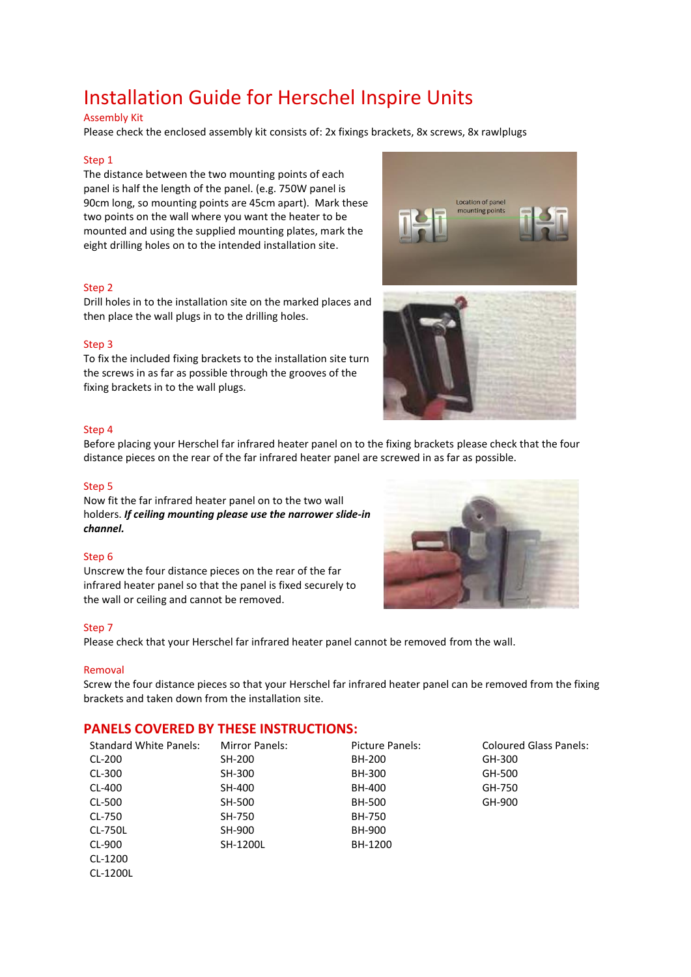# Installation Guide for Herschel Inspire Units

#### Assembly Kit

Please check the enclosed assembly kit consists of: 2x fixings brackets, 8x screws, 8x rawlplugs

#### Step 1

The distance between the two mounting points of each panel is half the length of the panel. (e.g. 750W panel is 90cm long, so mounting points are 45cm apart). Mark these two points on the wall where you want the heater to be mounted and using the supplied mounting plates, mark the eight drilling holes on to the intended installation site.

#### Step 2

Drill holes in to the installation site on the marked places and then place the wall plugs in to the drilling holes.

#### Step 3

To fix the included fixing brackets to the installation site turn the screws in as far as possible through the grooves of the fixing brackets in to the wall plugs.



#### Step 4

Before placing your Herschel far infrared heater panel on to the fixing brackets please check that the four distance pieces on the rear of the far infrared heater panel are screwed in as far as possible.

#### Step 5

Now fit the far infrared heater panel on to the two wall holders. *If ceiling mounting please use the narrower slide-in channel.*

#### Step 6

Unscrew the four distance pieces on the rear of the far infrared heater panel so that the panel is fixed securely to the wall or ceiling and cannot be removed.

#### Step 7

Please check that your Herschel far infrared heater panel cannot be removed from the wall.

#### Removal

Screw the four distance pieces so that your Herschel far infrared heater panel can be removed from the fixing brackets and taken down from the installation site.

# **PANELS COVERED BY THESE INSTRUCTIONS:**

| <b>Standard White Panels:</b> | <b>Mirror Panels:</b> | Picture Panels: | <b>Coloured Glass Panels:</b> |
|-------------------------------|-----------------------|-----------------|-------------------------------|
| CL-200                        | SH-200                | BH-200          | GH-300                        |
| CL-300                        | SH-300                | BH-300          | GH-500                        |
| CL-400                        | SH-400                | BH-400          | GH-750                        |
| CL-500                        | SH-500                | BH-500          | GH-900                        |
| CL-750                        | SH-750                | <b>BH-750</b>   |                               |
| CL-750L                       | SH-900                | BH-900          |                               |
| CL-900                        | SH-1200L              | BH-1200         |                               |
| CL-1200                       |                       |                 |                               |
| CL-1200L                      |                       |                 |                               |

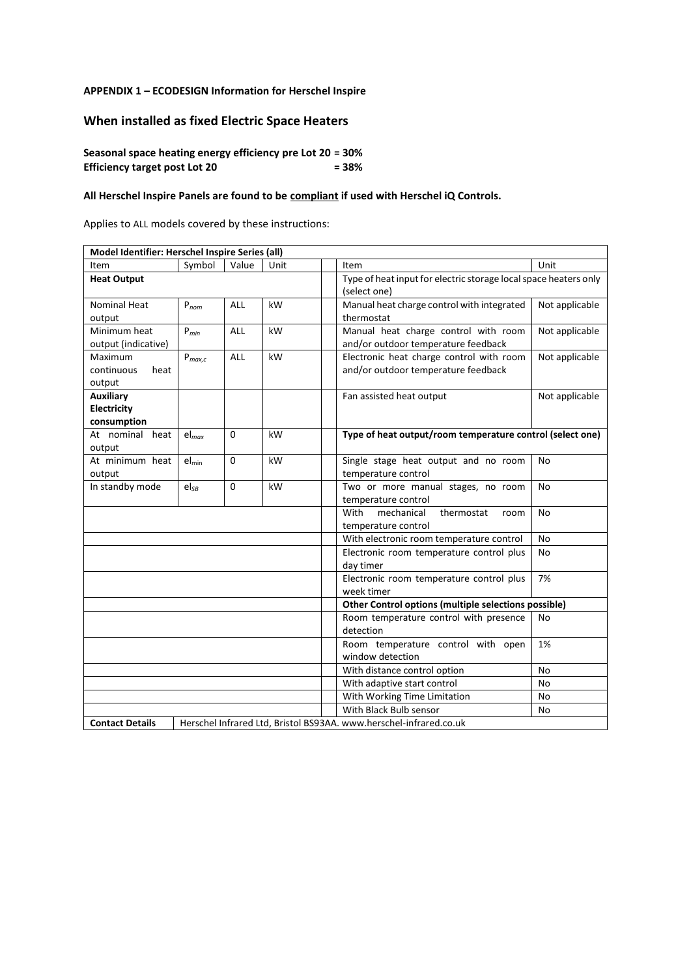### **APPENDIX 1 – ECODESIGN Information for Herschel Inspire**

# **When installed as fixed Electric Space Heaters**

## **Seasonal space heating energy efficiency pre Lot 20 = 30% Efficiency target post Lot 20 = 38%**

### **All Herschel Inspire Panels are found to be compliant if used with Herschel iQ Controls.**

Applies to ALL models covered by these instructions:

| Model Identifier: Herschel Inspire Series (all)                                              |                   |            |      |                                                                                  |                |  |  |  |
|----------------------------------------------------------------------------------------------|-------------------|------------|------|----------------------------------------------------------------------------------|----------------|--|--|--|
| Item                                                                                         | Symbol            | Value      | Unit | Item                                                                             | Unit           |  |  |  |
| <b>Heat Output</b>                                                                           |                   |            |      | Type of heat input for electric storage local space heaters only<br>(select one) |                |  |  |  |
| <b>Nominal Heat</b><br>output                                                                | $P_{nom}$         | <b>ALL</b> | kW   | Manual heat charge control with integrated<br>thermostat                         | Not applicable |  |  |  |
| Minimum heat<br>output (indicative)                                                          | $P_{min}$         | <b>ALL</b> | kW   | Manual heat charge control with room<br>and/or outdoor temperature feedback      | Not applicable |  |  |  |
| Maximum<br>continuous<br>heat<br>output                                                      | $P_{max,c}$       | <b>ALL</b> | kW   | Electronic heat charge control with room<br>and/or outdoor temperature feedback  | Not applicable |  |  |  |
| <b>Auxiliary</b><br>Electricity<br>consumption                                               |                   |            |      | Fan assisted heat output                                                         | Not applicable |  |  |  |
| At nominal heat<br>output                                                                    | $el_{max}$        | $\Omega$   | kW   | Type of heat output/room temperature control (select one)                        |                |  |  |  |
| At minimum heat<br>output                                                                    | $el_{\text{min}}$ | $\Omega$   | kW   | Single stage heat output and no room<br>temperature control                      | No             |  |  |  |
| In standby mode                                                                              | $el_{SB}$         | $\Omega$   | kW   | Two or more manual stages, no room<br>temperature control                        | No             |  |  |  |
|                                                                                              |                   |            |      | With<br>mechanical<br>thermostat<br>room<br>temperature control                  | No             |  |  |  |
|                                                                                              |                   |            |      | With electronic room temperature control                                         | No             |  |  |  |
|                                                                                              |                   |            |      | Electronic room temperature control plus<br>day timer                            | No             |  |  |  |
|                                                                                              |                   |            |      | Electronic room temperature control plus<br>week timer                           | 7%             |  |  |  |
|                                                                                              |                   |            |      | Other Control options (multiple selections possible)                             |                |  |  |  |
|                                                                                              |                   |            |      | Room temperature control with presence<br>detection                              | No             |  |  |  |
|                                                                                              |                   |            |      | Room temperature control with open<br>window detection                           | 1%             |  |  |  |
|                                                                                              |                   |            |      | With distance control option                                                     | <b>No</b>      |  |  |  |
|                                                                                              |                   |            |      | With adaptive start control                                                      | No             |  |  |  |
|                                                                                              |                   |            |      | With Working Time Limitation                                                     | No             |  |  |  |
|                                                                                              |                   |            |      | With Black Bulb sensor                                                           | No             |  |  |  |
| Herschel Infrared Ltd, Bristol BS93AA. www.herschel-infrared.co.uk<br><b>Contact Details</b> |                   |            |      |                                                                                  |                |  |  |  |